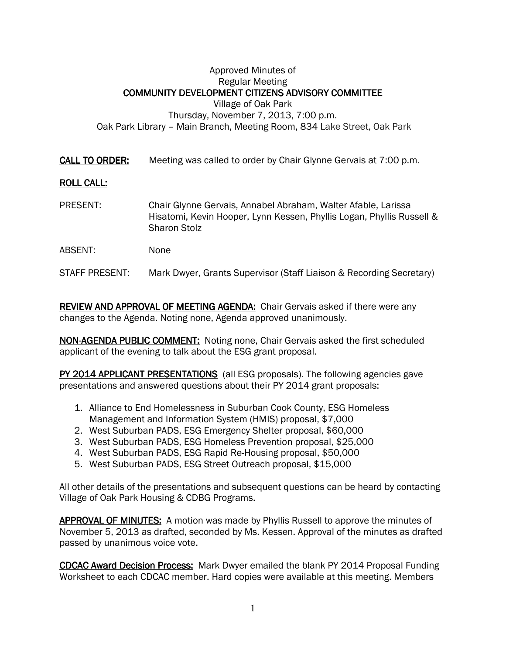## Approved Minutes of Regular Meeting COMMUNITY DEVELOPMENT CITIZENS ADVISORY COMMITTEE Village of Oak Park Thursday, November 7, 2013, 7:00 p.m. Oak Park Library – Main Branch, Meeting Room, 834 Lake Street, Oak Park

**CALL TO ORDER:** Meeting was called to order by Chair Glynne Gervais at 7:00 p.m.

## **ROLL CALL:**

- PRESENT: Chair Glynne Gervais, Annabel Abraham, Walter Afable, Larissa Hisatomi, Kevin Hooper, Lynn Kessen, Phyllis Logan, Phyllis Russell & Sharon Stolz
- ABSENT: None

STAFF PRESENT: Mark Dwyer, Grants Supervisor (Staff Liaison & Recording Secretary)

REVIEW AND APPROVAL OF MEETING AGENDA: Chair Gervais asked if there were any changes to the Agenda. Noting none, Agenda approved unanimously.

NON-AGENDA PUBLIC COMMENT: Noting none, Chair Gervais asked the first scheduled applicant of the evening to talk about the ESG grant proposal.

PY 2014 APPLICANT PRESENTATIONS (all ESG proposals). The following agencies gave presentations and answered questions about their PY 2014 grant proposals:

- 1. Alliance to End Homelessness in Suburban Cook County, ESG Homeless Management and Information System (HMIS) proposal, \$7,000
- 2. West Suburban PADS, ESG Emergency Shelter proposal, \$60,000
- 3. West Suburban PADS, ESG Homeless Prevention proposal, \$25,000
- 4. West Suburban PADS, ESG Rapid Re-Housing proposal, \$50,000
- 5. West Suburban PADS, ESG Street Outreach proposal, \$15,000

All other details of the presentations and subsequent questions can be heard by contacting Village of Oak Park Housing & CDBG Programs.

APPROVAL OF MINUTES: A motion was made by Phyllis Russell to approve the minutes of November 5, 2013 as drafted, seconded by Ms. Kessen. Approval of the minutes as drafted passed by unanimous voice vote.

CDCAC Award Decision Process: Mark Dwyer emailed the blank PY 2014 Proposal Funding Worksheet to each CDCAC member. Hard copies were available at this meeting. Members